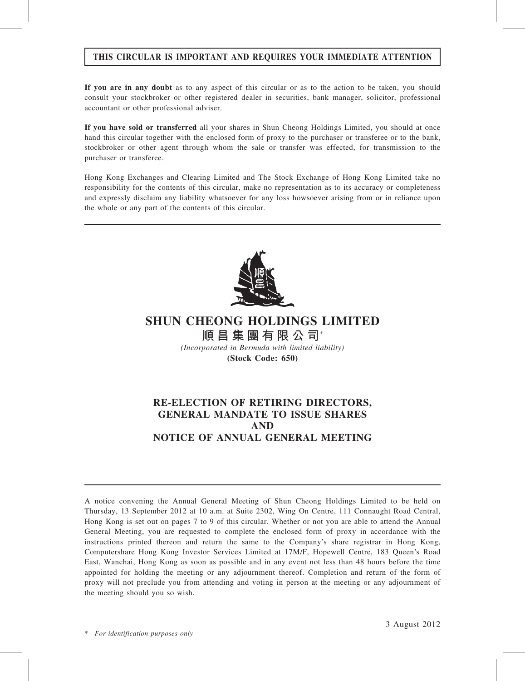# THIS CIRCULAR IS IMPORTANT AND REQUIRES YOUR IMMEDIATE ATTENTION

If you are in any doubt as to any aspect of this circular or as to the action to be taken, you should consult your stockbroker or other registered dealer in securities, bank manager, solicitor, professional accountant or other professional adviser.

If you have sold or transferred all your shares in Shun Cheong Holdings Limited, you should at once hand this circular together with the enclosed form of proxy to the purchaser or transferee or to the bank, stockbroker or other agent through whom the sale or transfer was effected, for transmission to the purchaser or transferee.

Hong Kong Exchanges and Clearing Limited and The Stock Exchange of Hong Kong Limited take no responsibility for the contents of this circular, make no representation as to its accuracy or completeness and expressly disclaim any liability whatsoever for any loss howsoever arising from or in reliance upon the whole or any part of the contents of this circular.



# SHUN CHEONG HOLDINGS LIMITED

順昌集團有限公司\* (Incorporated in Bermuda with limited liability)

(Stock Code: 650)

# RE-ELECTION OF RETIRING DIRECTORS, GENERAL MANDATE TO ISSUE SHARES AND NOTICE OF ANNUAL GENERAL MEETING

A notice convening the Annual General Meeting of Shun Cheong Holdings Limited to be held on Thursday, 13 September 2012 at 10 a.m. at Suite 2302, Wing On Centre, 111 Connaught Road Central, Hong Kong is set out on pages 7 to 9 of this circular. Whether or not you are able to attend the Annual General Meeting, you are requested to complete the enclosed form of proxy in accordance with the instructions printed thereon and return the same to the Company's share registrar in Hong Kong, Computershare Hong Kong Investor Services Limited at 17M/F, Hopewell Centre, 183 Queen's Road East, Wanchai, Hong Kong as soon as possible and in any event not less than 48 hours before the time appointed for holding the meeting or any adjournment thereof. Completion and return of the form of proxy will not preclude you from attending and voting in person at the meeting or any adjournment of the meeting should you so wish.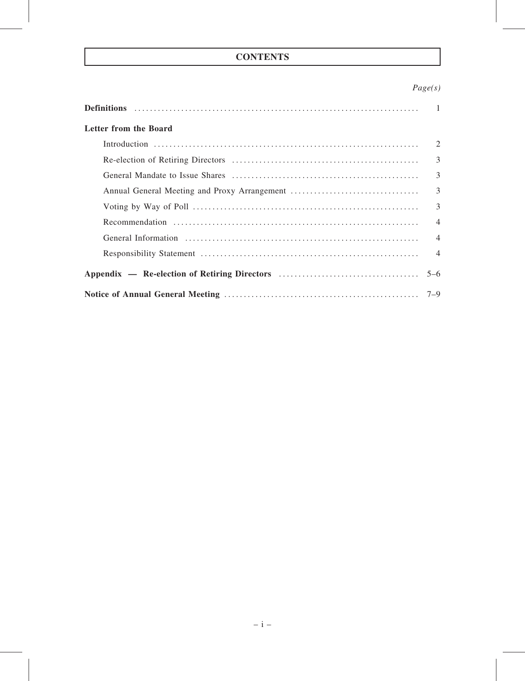# **CONTENTS**

# Page(s)

| Letter from the Board |                |
|-----------------------|----------------|
|                       | 2              |
|                       | 3              |
|                       | 3              |
|                       | $\overline{3}$ |
|                       | $\overline{3}$ |
|                       | $\overline{4}$ |
|                       | $\overline{4}$ |
|                       |                |
|                       |                |
|                       |                |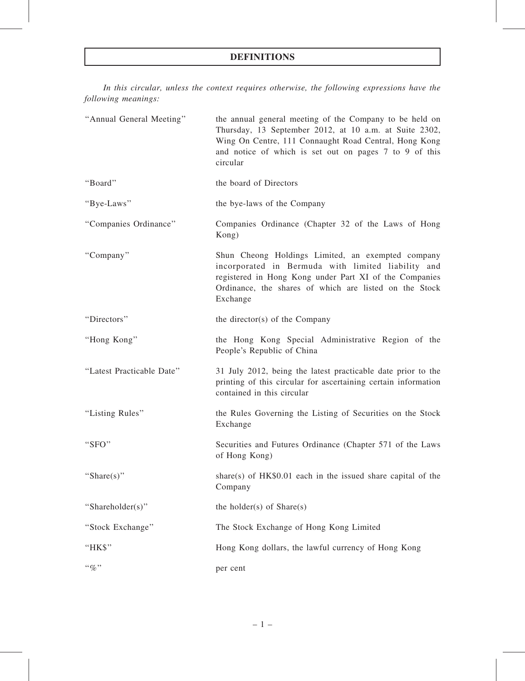# DEFINITIONS

In this circular, unless the context requires otherwise, the following expressions have the following meanings:

| "Annual General Meeting"  | the annual general meeting of the Company to be held on<br>Thursday, 13 September 2012, at 10 a.m. at Suite 2302,<br>Wing On Centre, 111 Connaught Road Central, Hong Kong<br>and notice of which is set out on pages 7 to 9 of this<br>circular |
|---------------------------|--------------------------------------------------------------------------------------------------------------------------------------------------------------------------------------------------------------------------------------------------|
| "Board"                   | the board of Directors                                                                                                                                                                                                                           |
| "Bye-Laws"                | the bye-laws of the Company                                                                                                                                                                                                                      |
| "Companies Ordinance"     | Companies Ordinance (Chapter 32 of the Laws of Hong<br>Kong)                                                                                                                                                                                     |
| "Company"                 | Shun Cheong Holdings Limited, an exempted company<br>incorporated in Bermuda with limited liability and<br>registered in Hong Kong under Part XI of the Companies<br>Ordinance, the shares of which are listed on the Stock<br>Exchange          |
| "Directors"               | the director(s) of the Company                                                                                                                                                                                                                   |
| "Hong Kong"               | the Hong Kong Special Administrative Region of the<br>People's Republic of China                                                                                                                                                                 |
| "Latest Practicable Date" | 31 July 2012, being the latest practicable date prior to the<br>printing of this circular for ascertaining certain information<br>contained in this circular                                                                                     |
| "Listing Rules"           | the Rules Governing the Listing of Securities on the Stock<br>Exchange                                                                                                                                                                           |
| "SFO"                     | Securities and Futures Ordinance (Chapter 571 of the Laws<br>of Hong Kong)                                                                                                                                                                       |
| "Share $(s)$ "            | share(s) of $HK$0.01$ each in the issued share capital of the<br>Company                                                                                                                                                                         |
| "Shareholder(s)"          | the holder(s) of $Share(s)$                                                                                                                                                                                                                      |
| "Stock Exchange"          | The Stock Exchange of Hong Kong Limited                                                                                                                                                                                                          |
| "HK\$"                    | Hong Kong dollars, the lawful currency of Hong Kong                                                                                                                                                                                              |
| $``\%"$                   | per cent                                                                                                                                                                                                                                         |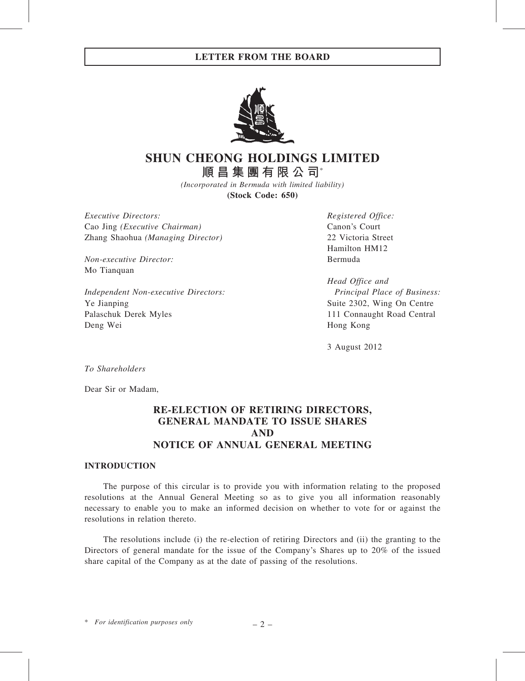## LETTER FROM THE BOARD



# SHUN CHEONG HOLDINGS LIMITED 順昌集團有限公司\*

(Incorporated in Bermuda with limited liability) (Stock Code: 650)

Executive Directors: Cao Jing (Executive Chairman) Zhang Shaohua (Managing Director)

Non-executive Director: Mo Tianquan

Independent Non-executive Directors: Ye Jianping Palaschuk Derek Myles Deng Wei

Registered Office: Canon's Court 22 Victoria Street Hamilton HM12 Bermuda

Head Office and Principal Place of Business: Suite 2302, Wing On Centre 111 Connaught Road Central Hong Kong

3 August 2012

To Shareholders

Dear Sir or Madam,

# RE-ELECTION OF RETIRING DIRECTORS, GENERAL MANDATE TO ISSUE SHARES AND NOTICE OF ANNUAL GENERAL MEETING

## INTRODUCTION

The purpose of this circular is to provide you with information relating to the proposed resolutions at the Annual General Meeting so as to give you all information reasonably necessary to enable you to make an informed decision on whether to vote for or against the resolutions in relation thereto.

The resolutions include (i) the re-election of retiring Directors and (ii) the granting to the Directors of general mandate for the issue of the Company's Shares up to 20% of the issued share capital of the Company as at the date of passing of the resolutions.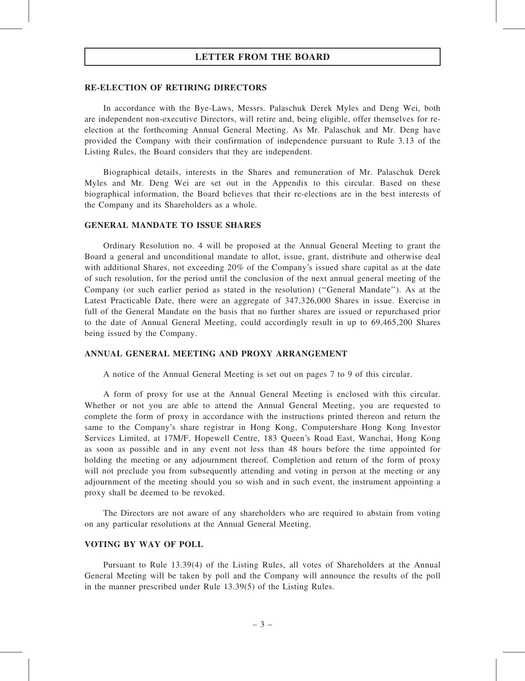## LETTER FROM THE BOARD

#### RE-ELECTION OF RETIRING DIRECTORS

In accordance with the Bye-Laws, Messrs. Palaschuk Derek Myles and Deng Wei, both are independent non-executive Directors, will retire and, being eligible, offer themselves for reelection at the forthcoming Annual General Meeting. As Mr. Palaschuk and Mr. Deng have provided the Company with their confirmation of independence pursuant to Rule 3.13 of the Listing Rules, the Board considers that they are independent.

Biographical details, interests in the Shares and remuneration of Mr. Palaschuk Derek Myles and Mr. Deng Wei are set out in the Appendix to this circular. Based on these biographical information, the Board believes that their re-elections are in the best interests of the Company and its Shareholders as a whole.

#### GENERAL MANDATE TO ISSUE SHARES

Ordinary Resolution no. 4 will be proposed at the Annual General Meeting to grant the Board a general and unconditional mandate to allot, issue, grant, distribute and otherwise deal with additional Shares, not exceeding 20% of the Company's issued share capital as at the date of such resolution, for the period until the conclusion of the next annual general meeting of the Company (or such earlier period as stated in the resolution) (''General Mandate''). As at the Latest Practicable Date, there were an aggregate of 347,326,000 Shares in issue. Exercise in full of the General Mandate on the basis that no further shares are issued or repurchased prior to the date of Annual General Meeting, could accordingly result in up to 69,465,200 Shares being issued by the Company.

#### ANNUAL GENERAL MEETING AND PROXY ARRANGEMENT

A notice of the Annual General Meeting is set out on pages 7 to 9 of this circular.

A form of proxy for use at the Annual General Meeting is enclosed with this circular. Whether or not you are able to attend the Annual General Meeting, you are requested to complete the form of proxy in accordance with the instructions printed thereon and return the same to the Company's share registrar in Hong Kong, Computershare Hong Kong Investor Services Limited, at 17M/F, Hopewell Centre, 183 Queen's Road East, Wanchai, Hong Kong as soon as possible and in any event not less than 48 hours before the time appointed for holding the meeting or any adjournment thereof. Completion and return of the form of proxy will not preclude you from subsequently attending and voting in person at the meeting or any adjournment of the meeting should you so wish and in such event, the instrument appointing a proxy shall be deemed to be revoked.

The Directors are not aware of any shareholders who are required to abstain from voting on any particular resolutions at the Annual General Meeting.

#### VOTING BY WAY OF POLL

Pursuant to Rule 13.39(4) of the Listing Rules, all votes of Shareholders at the Annual General Meeting will be taken by poll and the Company will announce the results of the poll in the manner prescribed under Rule 13.39(5) of the Listing Rules.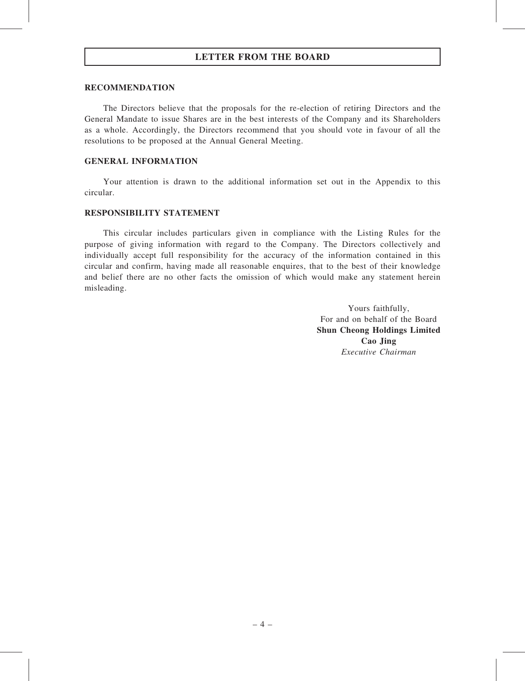## LETTER FROM THE BOARD

#### RECOMMENDATION

The Directors believe that the proposals for the re-election of retiring Directors and the General Mandate to issue Shares are in the best interests of the Company and its Shareholders as a whole. Accordingly, the Directors recommend that you should vote in favour of all the resolutions to be proposed at the Annual General Meeting.

### GENERAL INFORMATION

Your attention is drawn to the additional information set out in the Appendix to this circular.

### RESPONSIBILITY STATEMENT

This circular includes particulars given in compliance with the Listing Rules for the purpose of giving information with regard to the Company. The Directors collectively and individually accept full responsibility for the accuracy of the information contained in this circular and confirm, having made all reasonable enquires, that to the best of their knowledge and belief there are no other facts the omission of which would make any statement herein misleading.

> Yours faithfully, For and on behalf of the Board Shun Cheong Holdings Limited Cao Jing Executive Chairman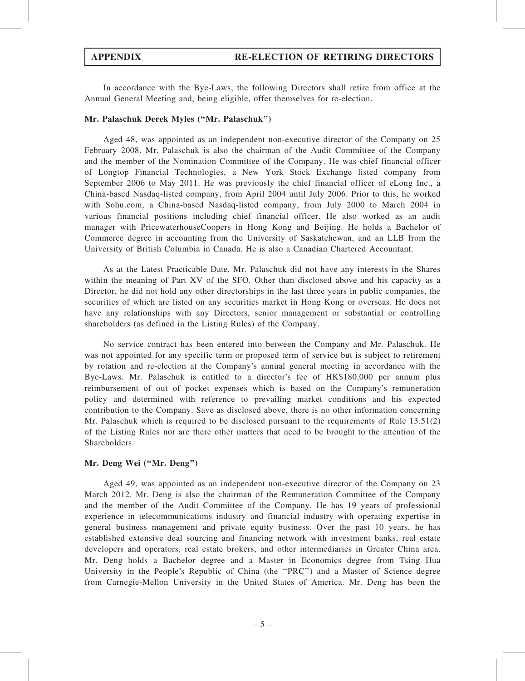In accordance with the Bye-Laws, the following Directors shall retire from office at the Annual General Meeting and, being eligible, offer themselves for re-election.

#### Mr. Palaschuk Derek Myles (''Mr. Palaschuk'')

Aged 48, was appointed as an independent non-executive director of the Company on 25 February 2008. Mr. Palaschuk is also the chairman of the Audit Committee of the Company and the member of the Nomination Committee of the Company. He was chief financial officer of Longtop Financial Technologies, a New York Stock Exchange listed company from September 2006 to May 2011. He was previously the chief financial officer of eLong Inc., a China-based Nasdaq-listed company, from April 2004 until July 2006. Prior to this, he worked with Sohu.com, a China-based Nasdaq-listed company, from July 2000 to March 2004 in various financial positions including chief financial officer. He also worked as an audit manager with PricewaterhouseCoopers in Hong Kong and Beijing. He holds a Bachelor of Commerce degree in accounting from the University of Saskatchewan, and an LLB from the University of British Columbia in Canada. He is also a Canadian Chartered Accountant.

As at the Latest Practicable Date, Mr. Palaschuk did not have any interests in the Shares within the meaning of Part XV of the SFO. Other than disclosed above and his capacity as a Director, he did not hold any other directorships in the last three years in public companies, the securities of which are listed on any securities market in Hong Kong or overseas. He does not have any relationships with any Directors, senior management or substantial or controlling shareholders (as defined in the Listing Rules) of the Company.

No service contract has been entered into between the Company and Mr. Palaschuk. He was not appointed for any specific term or proposed term of service but is subject to retirement by rotation and re-election at the Company's annual general meeting in accordance with the Bye-Laws. Mr. Palaschuk is entitled to a director's fee of HK\$180,000 per annum plus reimbursement of out of pocket expenses which is based on the Company's remuneration policy and determined with reference to prevailing market conditions and his expected contribution to the Company. Save as disclosed above, there is no other information concerning Mr. Palaschuk which is required to be disclosed pursuant to the requirements of Rule 13.51(2) of the Listing Rules nor are there other matters that need to be brought to the attention of the Shareholders.

## Mr. Deng Wei (''Mr. Deng'')

Aged 49, was appointed as an independent non-executive director of the Company on 23 March 2012. Mr. Deng is also the chairman of the Remuneration Committee of the Company and the member of the Audit Committee of the Company. He has 19 years of professional experience in telecommunications industry and financial industry with operating expertise in general business management and private equity business. Over the past 10 years, he has established extensive deal sourcing and financing network with investment banks, real estate developers and operators, real estate brokers, and other intermediaries in Greater China area. Mr. Deng holds a Bachelor degree and a Master in Economics degree from Tsing Hua University in the People's Republic of China (the "PRC") and a Master of Science degree from Carnegie-Mellon University in the United States of America. Mr. Deng has been the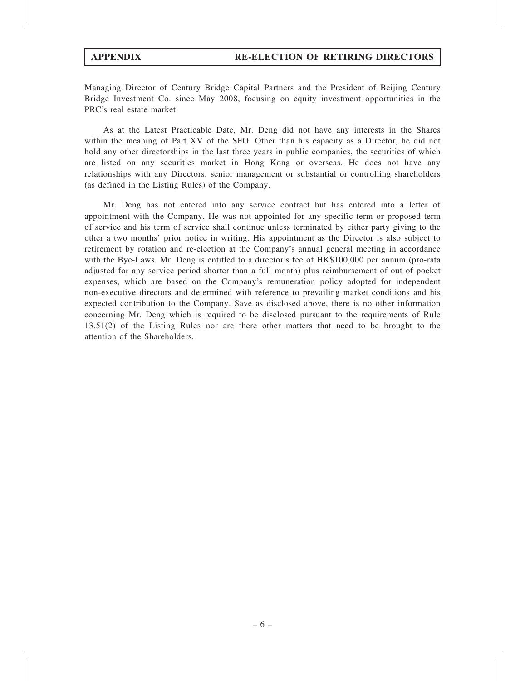Managing Director of Century Bridge Capital Partners and the President of Beijing Century Bridge Investment Co. since May 2008, focusing on equity investment opportunities in the PRC's real estate market.

As at the Latest Practicable Date, Mr. Deng did not have any interests in the Shares within the meaning of Part XV of the SFO. Other than his capacity as a Director, he did not hold any other directorships in the last three years in public companies, the securities of which are listed on any securities market in Hong Kong or overseas. He does not have any relationships with any Directors, senior management or substantial or controlling shareholders (as defined in the Listing Rules) of the Company.

Mr. Deng has not entered into any service contract but has entered into a letter of appointment with the Company. He was not appointed for any specific term or proposed term of service and his term of service shall continue unless terminated by either party giving to the other a two months' prior notice in writing. His appointment as the Director is also subject to retirement by rotation and re-election at the Company's annual general meeting in accordance with the Bye-Laws. Mr. Deng is entitled to a director's fee of HK\$100,000 per annum (pro-rata adjusted for any service period shorter than a full month) plus reimbursement of out of pocket expenses, which are based on the Company's remuneration policy adopted for independent non-executive directors and determined with reference to prevailing market conditions and his expected contribution to the Company. Save as disclosed above, there is no other information concerning Mr. Deng which is required to be disclosed pursuant to the requirements of Rule 13.51(2) of the Listing Rules nor are there other matters that need to be brought to the attention of the Shareholders.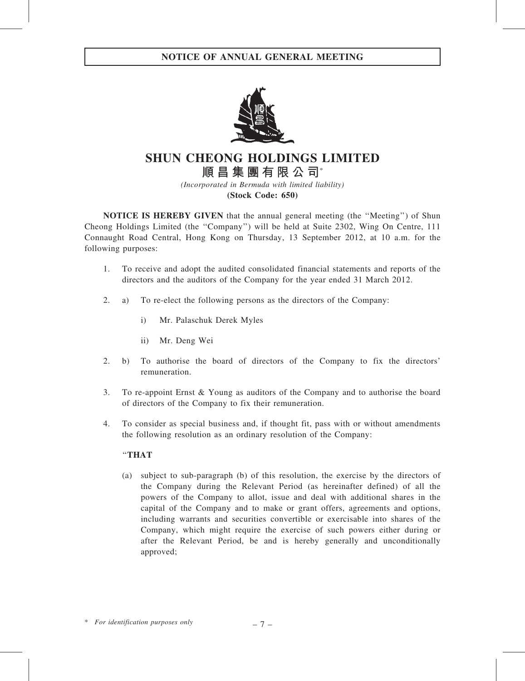

SHUN CHEONG HOLDINGS LIMITED 順昌集團有限公司\*

(Incorporated in Bermuda with limited liability) (Stock Code: 650)

NOTICE IS HEREBY GIVEN that the annual general meeting (the ''Meeting'') of Shun Cheong Holdings Limited (the ''Company'') will be held at Suite 2302, Wing On Centre, 111 Connaught Road Central, Hong Kong on Thursday, 13 September 2012, at 10 a.m. for the following purposes:

- 1. To receive and adopt the audited consolidated financial statements and reports of the directors and the auditors of the Company for the year ended 31 March 2012.
- 2. a) To re-elect the following persons as the directors of the Company:
	- i) Mr. Palaschuk Derek Myles
	- ii) Mr. Deng Wei
- 2. b) To authorise the board of directors of the Company to fix the directors' remuneration.
- 3. To re-appoint Ernst & Young as auditors of the Company and to authorise the board of directors of the Company to fix their remuneration.
- 4. To consider as special business and, if thought fit, pass with or without amendments the following resolution as an ordinary resolution of the Company:

## ''THAT

(a) subject to sub-paragraph (b) of this resolution, the exercise by the directors of the Company during the Relevant Period (as hereinafter defined) of all the powers of the Company to allot, issue and deal with additional shares in the capital of the Company and to make or grant offers, agreements and options, including warrants and securities convertible or exercisable into shares of the Company, which might require the exercise of such powers either during or after the Relevant Period, be and is hereby generally and unconditionally approved;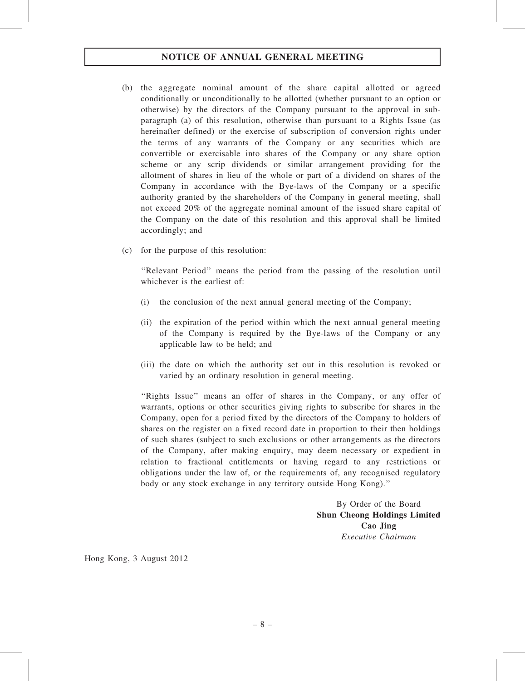# NOTICE OF ANNUAL GENERAL MEETING

- (b) the aggregate nominal amount of the share capital allotted or agreed conditionally or unconditionally to be allotted (whether pursuant to an option or otherwise) by the directors of the Company pursuant to the approval in subparagraph (a) of this resolution, otherwise than pursuant to a Rights Issue (as hereinafter defined) or the exercise of subscription of conversion rights under the terms of any warrants of the Company or any securities which are convertible or exercisable into shares of the Company or any share option scheme or any scrip dividends or similar arrangement providing for the allotment of shares in lieu of the whole or part of a dividend on shares of the Company in accordance with the Bye-laws of the Company or a specific authority granted by the shareholders of the Company in general meeting, shall not exceed 20% of the aggregate nominal amount of the issued share capital of the Company on the date of this resolution and this approval shall be limited accordingly; and
- (c) for the purpose of this resolution:

''Relevant Period'' means the period from the passing of the resolution until whichever is the earliest of:

- (i) the conclusion of the next annual general meeting of the Company;
- (ii) the expiration of the period within which the next annual general meeting of the Company is required by the Bye-laws of the Company or any applicable law to be held; and
- (iii) the date on which the authority set out in this resolution is revoked or varied by an ordinary resolution in general meeting.

"Rights Issue" means an offer of shares in the Company, or any offer of warrants, options or other securities giving rights to subscribe for shares in the Company, open for a period fixed by the directors of the Company to holders of shares on the register on a fixed record date in proportion to their then holdings of such shares (subject to such exclusions or other arrangements as the directors of the Company, after making enquiry, may deem necessary or expedient in relation to fractional entitlements or having regard to any restrictions or obligations under the law of, or the requirements of, any recognised regulatory body or any stock exchange in any territory outside Hong Kong).''

> By Order of the Board Shun Cheong Holdings Limited Cao Jing Executive Chairman

Hong Kong, 3 August 2012